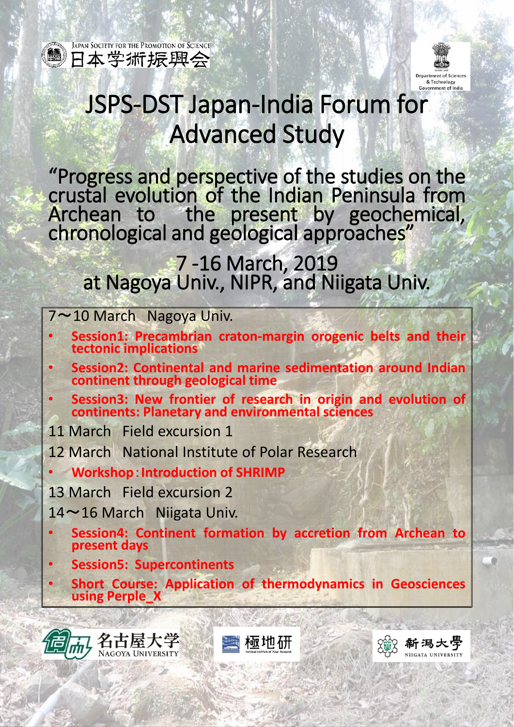

JAPAN SOCIETY FOR THE PROMOTION OF SCIENCE ■日本学術振興会



新潟大學

NIIGATA UNIVERSIT

# JSPS-DST Japan-India Forum for Advanced Study

"Progress and perspective of the studies on the crustal evolution of the Indian Peninsula from Archean to the present by geochemical, chronological and geological approaches"

## 7 -16 March, 2019 at Nagoya Univ., NIPR, and Niigata Univ.

### 7~10 March Nagoya Univ.

- **Session1: Precambrian craton-margin orogenic belts and their tectonic implications**
- **Session2: Continental and marine sedimentation around Indian continent through geological time**
- **Session3: New frontier of research in origin and evolution of continents: Planetary and environmental sciences**
- 11 March Field excursion 1
- 12 March National Institute of Polar Research
- **Workshop**:**Introduction of SHRIMP**
- 13 March Field excursion 2
- 14~16 March Niigata Univ.
	- **Session4: Continent formation by accretion from Archean to present days**
- **Session5: Supercontinents**
- **Short Course: Application of thermodynamics in Geosciences using Perple\_X**





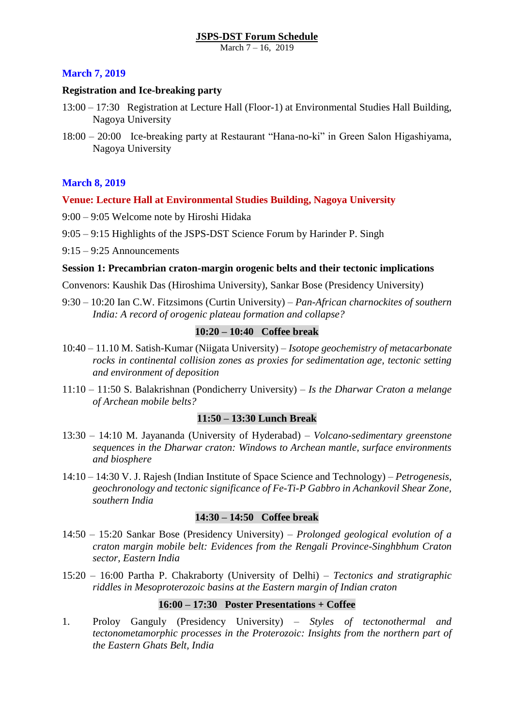March 7 – 16, 2019

#### **March 7, 2019**

#### **Registration and Ice-breaking party**

- 13:00 17:30 Registration at Lecture Hall (Floor-1) at Environmental Studies Hall Building, Nagoya University
- 18:00 20:00 Ice-breaking party at Restaurant "Hana-no-ki" in Green Salon Higashiyama, Nagoya University

#### **March 8, 2019**

#### **Venue: Lecture Hall at Environmental Studies Building, Nagoya University**

- 9:00 9:05 Welcome note by Hiroshi Hidaka
- 9:05 9:15 Highlights of the JSPS-DST Science Forum by Harinder P. Singh
- 9:15 9:25 Announcements

#### **Session 1: Precambrian craton-margin orogenic belts and their tectonic implications**

Convenors: Kaushik Das (Hiroshima University), Sankar Bose (Presidency University)

9:30 – 10:20 Ian C.W. Fitzsimons (Curtin University) – *Pan-African charnockites of southern India: A record of orogenic plateau formation and collapse?*

#### **10:20 – 10:40 Coffee break**

- 10:40 11.10 M. Satish-Kumar (Niigata University) *Isotope geochemistry of metacarbonate rocks in continental collision zones as proxies for sedimentation age, tectonic setting and environment of deposition*
- 11:10 11:50 S. Balakrishnan (Pondicherry University) *Is the Dharwar Craton a melange of Archean mobile belts?*

#### **11:50 – 13:30 Lunch Break**

- 13:30 14:10 M. Jayananda (University of Hyderabad) *Volcano-sedimentary greenstone sequences in the Dharwar craton: Windows to Archean mantle, surface environments and biosphere*
- 14:10 14:30 V. J. Rajesh (Indian Institute of Space Science and Technology) *Petrogenesis, geochronology and tectonic significance of Fe-Ti-P Gabbro in Achankovil Shear Zone, southern India*

#### **14:30 – 14:50 Coffee break**

- 14:50 15:20 Sankar Bose (Presidency University) *Prolonged geological evolution of a craton margin mobile belt: Evidences from the Rengali Province-Singhbhum Craton sector, Eastern India*
- 15:20 16:00 Partha P. Chakraborty (University of Delhi) *Tectonics and stratigraphic riddles in Mesoproterozoic basins at the Eastern margin of Indian craton*

#### **16:00 – 17:30 Poster Presentations + Coffee**

1. Proloy Ganguly (Presidency University) – *Styles of tectonothermal and tectonometamorphic processes in the Proterozoic: Insights from the northern part of the Eastern Ghats Belt, India*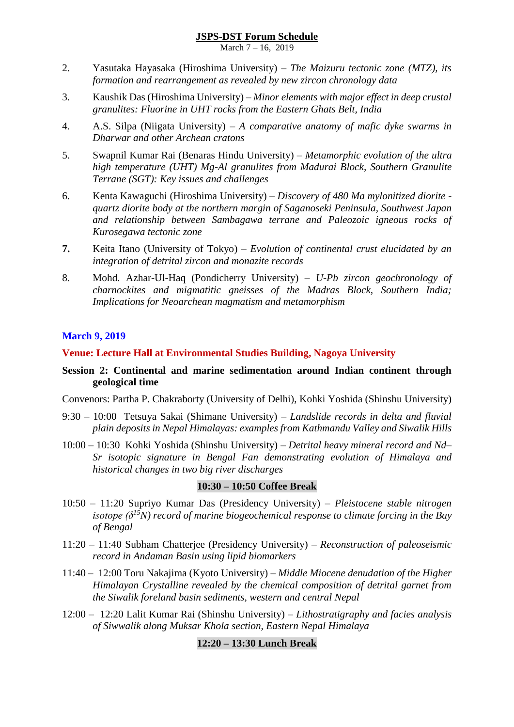March 7 – 16, 2019

- 2. Yasutaka Hayasaka (Hiroshima University) *The Maizuru tectonic zone (MTZ), its formation and rearrangement as revealed by new zircon chronology data*
- 3. Kaushik Das (Hiroshima University) *Minor elements with major effect in deep crustal granulites: Fluorine in UHT rocks from the Eastern Ghats Belt, India*
- 4. A.S. Silpa (Niigata University) *A comparative anatomy of mafic dyke swarms in Dharwar and other Archean cratons*
- 5. Swapnil Kumar Rai (Benaras Hindu University) *Metamorphic evolution of the ultra high temperature (UHT) Mg-Al granulites from Madurai Block, Southern Granulite Terrane (SGT): Key issues and challenges*
- 6. Kenta Kawaguchi (Hiroshima University) *Discovery of 480 Ma mylonitized diorite quartz diorite body at the northern margin of Saganoseki Peninsula, Southwest Japan and relationship between Sambagawa terrane and Paleozoic igneous rocks of Kurosegawa tectonic zone*
- **7.** Keita Itano (University of Tokyo) *Evolution of continental crust elucidated by an integration of detrital zircon and monazite records*
- 8. Mohd. Azhar-Ul-Haq (Pondicherry University) *U-Pb zircon geochronology of charnockites and migmatitic gneisses of the Madras Block, Southern India; Implications for Neoarchean magmatism and metamorphism*

#### **March 9, 2019**

#### **Venue: Lecture Hall at Environmental Studies Building, Nagoya University**

#### **Session 2: Continental and marine sedimentation around Indian continent through geological time**

Convenors: Partha P. Chakraborty (University of Delhi), Kohki Yoshida (Shinshu University)

- 9:30 10:00 Tetsuya Sakai (Shimane University) *Landslide records in delta and fluvial plain deposits in Nepal Himalayas: examples from Kathmandu Valley and Siwalik Hills*
- 10:00 10:30 Kohki Yoshida (Shinshu University) *Detrital heavy mineral record and Nd– Sr isotopic signature in Bengal Fan demonstrating evolution of Himalaya and historical changes in two big river discharges*

#### **10:30 – 10:50 Coffee Break**

- 10:50 11:20 Supriyo Kumar Das (Presidency University) *Pleistocene stable nitrogen isotope (δ<sup>15</sup>N) record of marine biogeochemical response to climate forcing in the Bay of Bengal*
- 11:20 11:40 Subham Chatterjee (Presidency University) *Reconstruction of paleoseismic record in Andaman Basin using lipid biomarkers*
- 11:40 12:00 Toru Nakajima (Kyoto University) *Middle Miocene denudation of the Higher Himalayan Crystalline revealed by the chemical composition of detrital garnet from the Siwalik foreland basin sediments, western and central Nepal*
- 12:00 12:20 Lalit Kumar Rai (Shinshu University) *Lithostratigraphy and facies analysis of Siwwalik along Muksar Khola section, Eastern Nepal Himalaya*

#### **12:20 – 13:30 Lunch Break**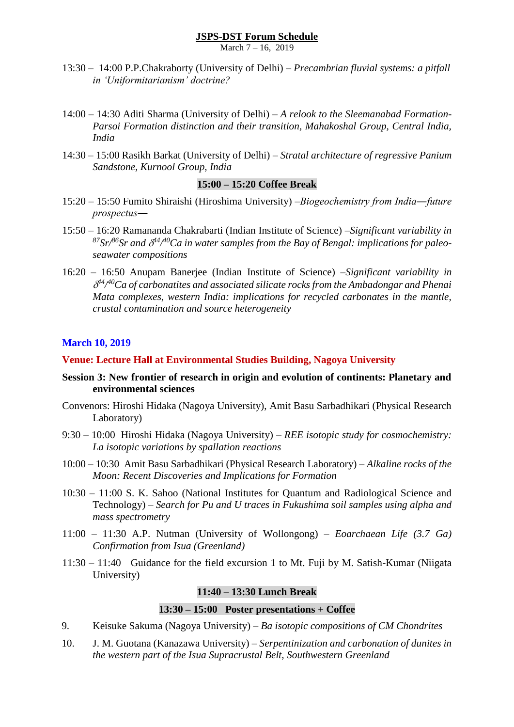March 7 – 16, 2019

- 13:30 14:00 P.P.Chakraborty (University of Delhi) *Precambrian fluvial systems: a pitfall in 'Uniformitarianism' doctrine?*
- 14:00 14:30 Aditi Sharma (University of Delhi) *A relook to the Sleemanabad Formation-Parsoi Formation distinction and their transition, Mahakoshal Group, Central India, India*
- 14:30 15:00 Rasikh Barkat (University of Delhi) *Stratal architecture of regressive Panium Sandstone, Kurnool Group, India*

#### **15:00 – 15:20 Coffee Break**

- 15:20 15:50 Fumito Shiraishi (Hiroshima University) –*Biogeochemistry from India―future prospectus―*
- 15:50 16:20 Ramananda Chakrabarti (Indian Institute of Science) –*Significant variability in <sup>87</sup>Sr/<sup>86</sup>Sr and 44/ <sup>40</sup>Ca in water samples from the Bay of Bengal: implications for paleoseawater compositions*
- 16:20 16:50 Anupam Banerjee (Indian Institute of Science) –*Significant variability in 44/ <sup>40</sup>Ca of carbonatites and associated silicate rocks from the Ambadongar and Phenai Mata complexes, western India: implications for recycled carbonates in the mantle, crustal contamination and source heterogeneity*

#### **March 10, 2019**

#### **Venue: Lecture Hall at Environmental Studies Building, Nagoya University**

- **Session 3: New frontier of research in origin and evolution of continents: Planetary and environmental sciences**
- Convenors: Hiroshi Hidaka (Nagoya University), Amit Basu Sarbadhikari (Physical Research Laboratory)
- 9:30 10:00 Hiroshi Hidaka (Nagoya University) *REE isotopic study for cosmochemistry: La isotopic variations by spallation reactions*
- 10:00 10:30 Amit Basu Sarbadhikari (Physical Research Laboratory) *Alkaline rocks of the Moon: Recent Discoveries and Implications for Formation*
- 10:30 11:00 S. K. Sahoo (National Institutes for Quantum and Radiological Science and Technology) – *Search for Pu and U traces in Fukushima soil samples using alpha and mass spectrometry*
- 11:00 11:30 A.P. Nutman (University of Wollongong) *Eoarchaean Life (3.7 Ga) Confirmation from Isua (Greenland)*
- 11:30 11:40 Guidance for the field excursion 1 to Mt. Fuji by M. Satish-Kumar (Niigata University)

#### **11:40 – 13:30 Lunch Break**

#### **13:30 – 15:00 Poster presentations + Coffee**

- 9. Keisuke Sakuma (Nagoya University) *Ba isotopic compositions of CM Chondrites*
- 10. J. M. Guotana (Kanazawa University) *Serpentinization and carbonation of dunites in the western part of the Isua Supracrustal Belt, Southwestern Greenland*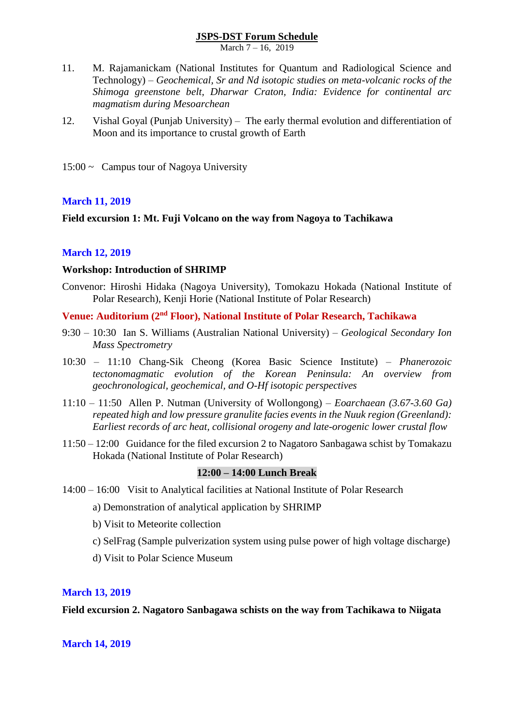March 7 – 16, 2019

- 11. M. Rajamanickam (National Institutes for Quantum and Radiological Science and Technology) – *Geochemical, Sr and Nd isotopic studies on meta-volcanic rocks of the Shimoga greenstone belt, Dharwar Craton, India: Evidence for continental arc magmatism during Mesoarchean*
- 12. Vishal Goyal (Punjab University) The early thermal evolution and differentiation of Moon and its importance to crustal growth of Earth
- $15:00 \sim$  Campus tour of Nagoya University

#### **March 11, 2019**

#### **Field excursion 1: Mt. Fuji Volcano on the way from Nagoya to Tachikawa**

#### **March 12, 2019**

#### **Workshop: Introduction of SHRIMP**

Convenor: Hiroshi Hidaka (Nagoya University), Tomokazu Hokada (National Institute of Polar Research), Kenji Horie (National Institute of Polar Research)

#### **Venue: Auditorium (2nd Floor), National Institute of Polar Research, Tachikawa**

- 9:30 10:30 Ian S. Williams (Australian National University) *Geological Secondary Ion Mass Spectrometry*
- 10:30 11:10 Chang-Sik Cheong (Korea Basic Science Institute) *Phanerozoic tectonomagmatic evolution of the Korean Peninsula: An overview from geochronological, geochemical, and O-Hf isotopic perspectives*
- 11:10 11:50 Allen P. Nutman (University of Wollongong) *Eoarchaean (3.67-3.60 Ga) repeated high and low pressure granulite facies events in the Nuuk region (Greenland): Earliest records of arc heat, collisional orogeny and late-orogenic lower crustal flow*
- 11:50 12:00 Guidance for the filed excursion 2 to Nagatoro Sanbagawa schist by Tomakazu Hokada (National Institute of Polar Research)

#### **12:00 – 14:00 Lunch Break**

- 14:00 16:00 Visit to Analytical facilities at National Institute of Polar Research
	- a) Demonstration of analytical application by SHRIMP
	- b) Visit to Meteorite collection
	- c) SelFrag (Sample pulverization system using pulse power of high voltage discharge)
	- d) Visit to Polar Science Museum

#### **March 13, 2019**

#### **Field excursion 2. Nagatoro Sanbagawa schists on the way from Tachikawa to Niigata**

#### **March 14, 2019**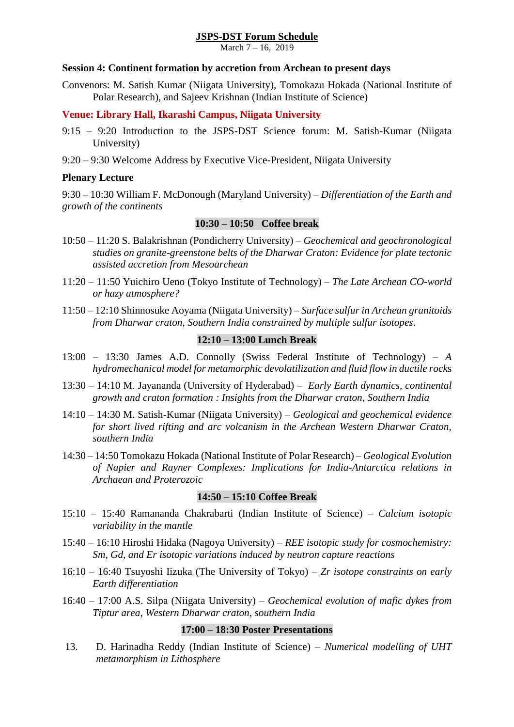March 7 – 16, 2019

#### **Session 4: Continent formation by accretion from Archean to present days**

Convenors: M. Satish Kumar (Niigata University), Tomokazu Hokada (National Institute of Polar Research), and Sajeev Krishnan (Indian Institute of Science)

#### **Venue: Library Hall, Ikarashi Campus, Niigata University**

- 9:15 9:20 Introduction to the JSPS-DST Science forum: M. Satish-Kumar (Niigata University)
- 9:20 9:30 Welcome Address by Executive Vice-President, Niigata University

#### **Plenary Lecture**

9:30 – 10:30 William F. McDonough (Maryland University) – *Differentiation of the Earth and growth of the continents*

#### **10:30 – 10:50 Coffee break**

- 10:50 11:20 S. Balakrishnan (Pondicherry University) *Geochemical and geochronological studies on granite-greenstone belts of the Dharwar Craton: Evidence for plate tectonic assisted accretion from Mesoarchean*
- 11:20 11:50 Yuichiro Ueno (Tokyo Institute of Technology) *The Late Archean CO-world or hazy atmosphere?*
- 11:50 12:10 Shinnosuke Aoyama (Niigata University) *Surface sulfur in Archean granitoids from Dharwar craton, Southern India constrained by multiple sulfur isotopes.*

#### **12:10 – 13:00 Lunch Break**

- 13:00 13:30 James A.D. Connolly (Swiss Federal Institute of Technology) *A hydromechanical model for metamorphic devolatilization and fluid flow in ductile rock*s
- 13:30 14:10 M. Jayananda (University of Hyderabad) *Early Earth dynamics, continental growth and craton formation : Insights from the Dharwar craton, Southern India*
- 14:10 14:30 M. Satish-Kumar (Niigata University) *Geological and geochemical evidence for short lived rifting and arc volcanism in the Archean Western Dharwar Craton, southern India*
- 14:30 14:50 Tomokazu Hokada (National Institute of Polar Research) *Geological Evolution of Napier and Rayner Complexes: Implications for India-Antarctica relations in Archaean and Proterozoic*

#### **14:50 – 15:10 Coffee Break**

- 15:10 15:40 Ramananda Chakrabarti (Indian Institute of Science) *Calcium isotopic variability in the mantle*
- 15:40 16:10 Hiroshi Hidaka (Nagoya University) *REE isotopic study for cosmochemistry: Sm, Gd, and Er isotopic variations induced by neutron capture reactions*
- 16:10 16:40 Tsuyoshi Iizuka (The University of Tokyo) *Zr isotope constraints on early Earth differentiation*
- 16:40 17:00 A.S. Silpa (Niigata University) *Geochemical evolution of mafic dykes from Tiptur area, Western Dharwar craton, southern India*

#### **17:00 – 18:30 Poster Presentations**

13. D. Harinadha Reddy (Indian Institute of Science) – *Numerical modelling of UHT metamorphism in Lithosphere*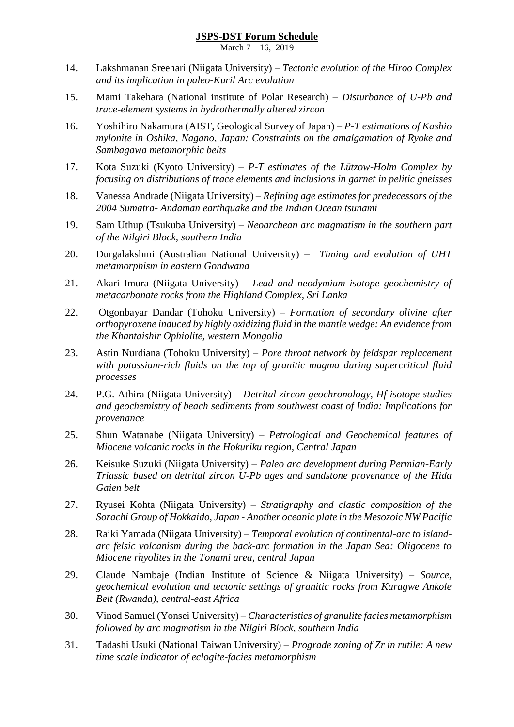March 7 – 16, 2019

- 14. Lakshmanan Sreehari (Niigata University) *Tectonic evolution of the Hiroo Complex and its implication in paleo-Kuril Arc evolution*
- 15. Mami Takehara (National institute of Polar Research) *Disturbance of U-Pb and trace-element systems in hydrothermally altered zircon*
- 16. Yoshihiro Nakamura (AIST, Geological Survey of Japan) *P-T estimations of Kashio mylonite in Oshika, Nagano, Japan: Constraints on the amalgamation of Ryoke and Sambagawa metamorphic belts*
- 17. Kota Suzuki (Kyoto University) *P-T estimates of the Lützow-Holm Complex by focusing on distributions of trace elements and inclusions in garnet in pelitic gneisses*
- 18. Vanessa Andrade (Niigata University) *Refining age estimates for predecessors of the 2004 Sumatra- Andaman earthquake and the Indian Ocean tsunami*
- 19. Sam Uthup (Tsukuba University) *Neoarchean arc magmatism in the southern part of the Nilgiri Block, southern India*
- 20. Durgalakshmi (Australian National University) *Timing and evolution of UHT metamorphism in eastern Gondwana*
- 21. Akari Imura (Niigata University) *Lead and neodymium isotope geochemistry of metacarbonate rocks from the Highland Complex, Sri Lanka*
- 22. Otgonbayar Dandar (Tohoku University) *Formation of secondary olivine after orthopyroxene induced by highly oxidizing fluid in the mantle wedge: An evidence from the Khantaishir Ophiolite, western Mongolia*
- 23. Astin Nurdiana (Tohoku University) *Pore throat network by feldspar replacement with potassium-rich fluids on the top of granitic magma during supercritical fluid processes*
- 24. P.G. Athira (Niigata University) *Detrital zircon geochronology, Hf isotope studies and geochemistry of beach sediments from southwest coast of India: Implications for provenance*
- 25. Shun Watanabe (Niigata University) *Petrological and Geochemical features of Miocene volcanic rocks in the Hokuriku region, Central Japan*
- 26. Keisuke Suzuki (Niigata University) *Paleo arc development during Permian-Early Triassic based on detrital zircon U-Pb ages and sandstone provenance of the Hida Gaien belt*
- 27. Ryusei Kohta (Niigata University) *Stratigraphy and clastic composition of the Sorachi Group of Hokkaido, Japan - Another oceanic plate in the Mesozoic NW Pacific*
- 28. Raiki Yamada (Niigata University) *Temporal evolution of continental-arc to islandarc felsic volcanism during the back-arc formation in the Japan Sea: Oligocene to Miocene rhyolites in the Tonami area, central Japan*
- 29. Claude Nambaje (Indian Institute of Science & Niigata University) *Source, geochemical evolution and tectonic settings of granitic rocks from Karagwe Ankole Belt (Rwanda), central-east Africa*
- 30. Vinod Samuel (Yonsei University) *Characteristics of granulite facies metamorphism followed by arc magmatism in the Nilgiri Block, southern India*
- 31. Tadashi Usuki (National Taiwan University) *Prograde zoning of Zr in rutile: A new time scale indicator of eclogite-facies metamorphism*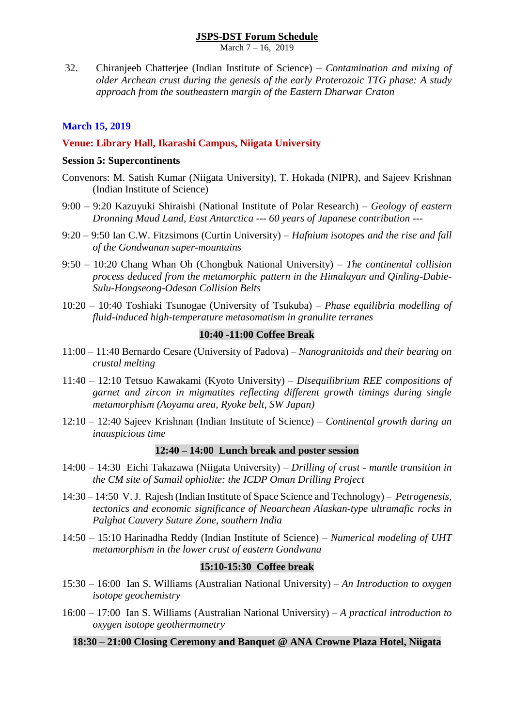March 7 – 16, 2019

32. Chiranjeeb Chatterjee (Indian Institute of Science) – *Contamination and mixing of older Archean crust during the genesis of the early Proterozoic TTG phase: A study approach from the southeastern margin of the Eastern Dharwar Craton*

#### **March 15, 2019**

#### **Venue: Library Hall, Ikarashi Campus, Niigata University**

#### **Session 5: Supercontinents**

- Convenors: M. Satish Kumar (Niigata University), T. Hokada (NIPR), and Sajeev Krishnan (Indian Institute of Science)
- 9:00 9:20 Kazuyuki Shiraishi (National Institute of Polar Research) *Geology of eastern Dronning Maud Land, East Antarctica --- 60 years of Japanese contribution* ---
- 9:20 9:50 Ian C.W. Fitzsimons (Curtin University) *Hafnium isotopes and the rise and fall of the Gondwanan super-mountains*
- 9:50 10:20 Chang Whan Oh (Chongbuk National University) *The continental collision process deduced from the metamorphic pattern in the Himalayan and Qinling-Dabie-Sulu-Hongseong-Odesan Collision Belts*
- 10:20 10:40 Toshiaki Tsunogae (University of Tsukuba) *Phase equilibria modelling of fluid-induced high-temperature metasomatism in granulite terranes*

#### **10:40 -11:00 Coffee Break**

- 11:00 11:40 Bernardo Cesare (University of Padova) *Nanogranitoids and their bearing on crustal melting*
- 11:40 12:10 Tetsuo Kawakami (Kyoto University) *Disequilibrium REE compositions of garnet and zircon in migmatites reflecting different growth timings during single metamorphism (Aoyama area, Ryoke belt, SW Japan)*
- 12:10 12:40 Sajeev Krishnan (Indian Institute of Science) *Continental growth during an inauspicious time*

#### **12:40 – 14:00 Lunch break and poster session**

- 14:00 14:30 Eichi Takazawa (Niigata University) *Drilling of crust - mantle transition in the CM site of Samail ophiolite: the ICDP Oman Drilling Project*
- 14:30 14:50 V.J. Rajesh (Indian Institute of Space Science and Technology) *Petrogenesis, tectonics and economic significance of Neoarchean Alaskan-type ultramafic rocks in Palghat Cauvery Suture Zone, southern India*
- 14:50 15:10 Harinadha Reddy (Indian Institute of Science) *Numerical modeling of UHT metamorphism in the lower crust of eastern Gondwana*

#### **15:10-15:30 Coffee break**

- 15:30 16:00 Ian S. Williams (Australian National University) *An Introduction to oxygen isotope geochemistry*
- 16:00 17:00 Ian S. Williams (Australian National University) *A practical introduction to oxygen isotope geothermometry*

#### **18:30 – 21:00 Closing Ceremony and Banquet @ ANA Crowne Plaza Hotel, Niigata**